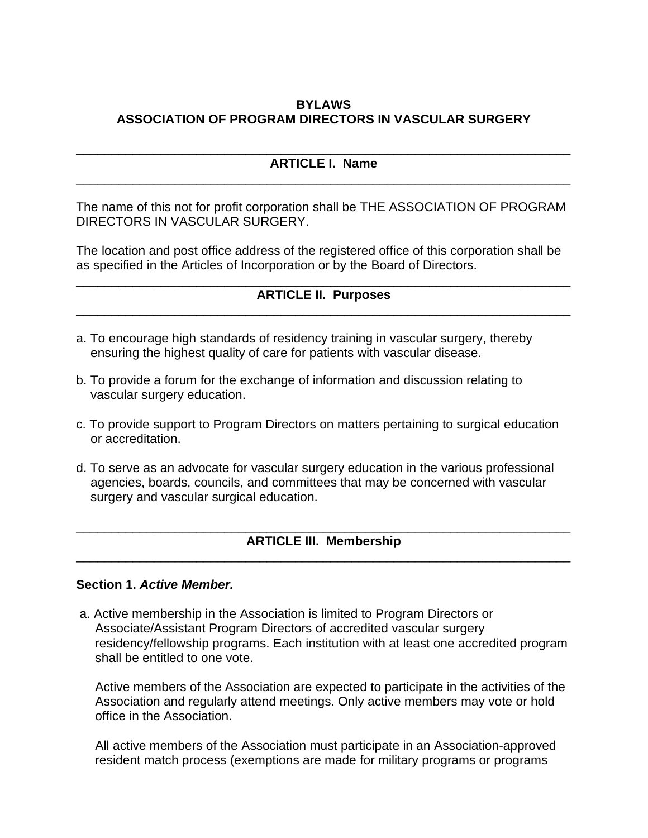## **BYLAWS ASSOCIATION OF PROGRAM DIRECTORS IN VASCULAR SURGERY**

#### \_\_\_\_\_\_\_\_\_\_\_\_\_\_\_\_\_\_\_\_\_\_\_\_\_\_\_\_\_\_\_\_\_\_\_\_\_\_\_\_\_\_\_\_\_\_\_\_\_\_\_\_\_\_\_\_\_\_\_\_\_\_\_\_\_\_\_\_\_\_ **ARTICLE I. Name** \_\_\_\_\_\_\_\_\_\_\_\_\_\_\_\_\_\_\_\_\_\_\_\_\_\_\_\_\_\_\_\_\_\_\_\_\_\_\_\_\_\_\_\_\_\_\_\_\_\_\_\_\_\_\_\_\_\_\_\_\_\_\_\_\_\_\_\_\_\_

The name of this not for profit corporation shall be THE ASSOCIATION OF PROGRAM DIRECTORS IN VASCULAR SURGERY.

The location and post office address of the registered office of this corporation shall be as specified in the Articles of Incorporation or by the Board of Directors.

#### \_\_\_\_\_\_\_\_\_\_\_\_\_\_\_\_\_\_\_\_\_\_\_\_\_\_\_\_\_\_\_\_\_\_\_\_\_\_\_\_\_\_\_\_\_\_\_\_\_\_\_\_\_\_\_\_\_\_\_\_\_\_\_\_\_\_\_\_\_\_ **ARTICLE II. Purposes** \_\_\_\_\_\_\_\_\_\_\_\_\_\_\_\_\_\_\_\_\_\_\_\_\_\_\_\_\_\_\_\_\_\_\_\_\_\_\_\_\_\_\_\_\_\_\_\_\_\_\_\_\_\_\_\_\_\_\_\_\_\_\_\_\_\_\_\_\_\_

- a. To encourage high standards of residency training in vascular surgery, thereby ensuring the highest quality of care for patients with vascular disease.
- b. To provide a forum for the exchange of information and discussion relating to vascular surgery education.
- c. To provide support to Program Directors on matters pertaining to surgical education or accreditation.
- d. To serve as an advocate for vascular surgery education in the various professional agencies, boards, councils, and committees that may be concerned with vascular surgery and vascular surgical education.

#### \_\_\_\_\_\_\_\_\_\_\_\_\_\_\_\_\_\_\_\_\_\_\_\_\_\_\_\_\_\_\_\_\_\_\_\_\_\_\_\_\_\_\_\_\_\_\_\_\_\_\_\_\_\_\_\_\_\_\_\_\_\_\_\_\_\_\_\_\_\_ **ARTICLE III. Membership** \_\_\_\_\_\_\_\_\_\_\_\_\_\_\_\_\_\_\_\_\_\_\_\_\_\_\_\_\_\_\_\_\_\_\_\_\_\_\_\_\_\_\_\_\_\_\_\_\_\_\_\_\_\_\_\_\_\_\_\_\_\_\_\_\_\_\_\_\_\_

#### **Section 1.** *Active Member.*

a. Active membership in the Association is limited to Program Directors or Associate/Assistant Program Directors of accredited vascular surgery residency/fellowship programs. Each institution with at least one accredited program shall be entitled to one vote.

Active members of the Association are expected to participate in the activities of the Association and regularly attend meetings. Only active members may vote or hold office in the Association.

All active members of the Association must participate in an Association-approved resident match process (exemptions are made for military programs or programs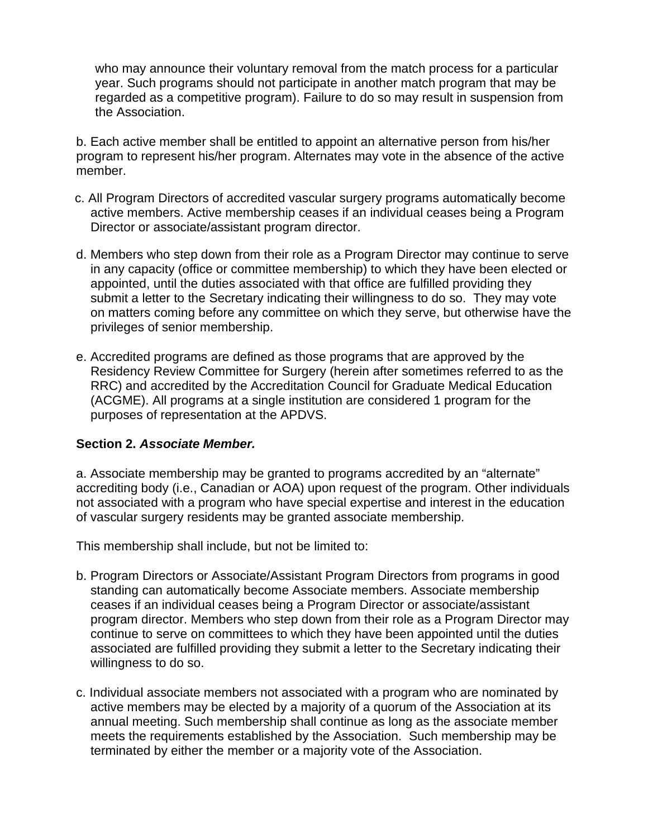who may announce their voluntary removal from the match process for a particular year. Such programs should not participate in another match program that may be regarded as a competitive program). Failure to do so may result in suspension from the Association.

b. Each active member shall be entitled to appoint an alternative person from his/her program to represent his/her program. Alternates may vote in the absence of the active member.

- c. All Program Directors of accredited vascular surgery programs automatically become active members. Active membership ceases if an individual ceases being a Program Director or associate/assistant program director.
- d. Members who step down from their role as a Program Director may continue to serve in any capacity (office or committee membership) to which they have been elected or appointed, until the duties associated with that office are fulfilled providing they submit a letter to the Secretary indicating their willingness to do so. They may vote on matters coming before any committee on which they serve, but otherwise have the privileges of senior membership.
- e. Accredited programs are defined as those programs that are approved by the Residency Review Committee for Surgery (herein after sometimes referred to as the RRC) and accredited by the Accreditation Council for Graduate Medical Education (ACGME). All programs at a single institution are considered 1 program for the purposes of representation at the APDVS.

## **Section 2.** *Associate Member.*

a. Associate membership may be granted to programs accredited by an "alternate" accrediting body (i.e., Canadian or AOA) upon request of the program. Other individuals not associated with a program who have special expertise and interest in the education of vascular surgery residents may be granted associate membership.

This membership shall include, but not be limited to:

- b. Program Directors or Associate/Assistant Program Directors from programs in good standing can automatically become Associate members. Associate membership ceases if an individual ceases being a Program Director or associate/assistant program director. Members who step down from their role as a Program Director may continue to serve on committees to which they have been appointed until the duties associated are fulfilled providing they submit a letter to the Secretary indicating their willingness to do so.
- c. Individual associate members not associated with a program who are nominated by active members may be elected by a majority of a quorum of the Association at its annual meeting. Such membership shall continue as long as the associate member meets the requirements established by the Association. Such membership may be terminated by either the member or a majority vote of the Association.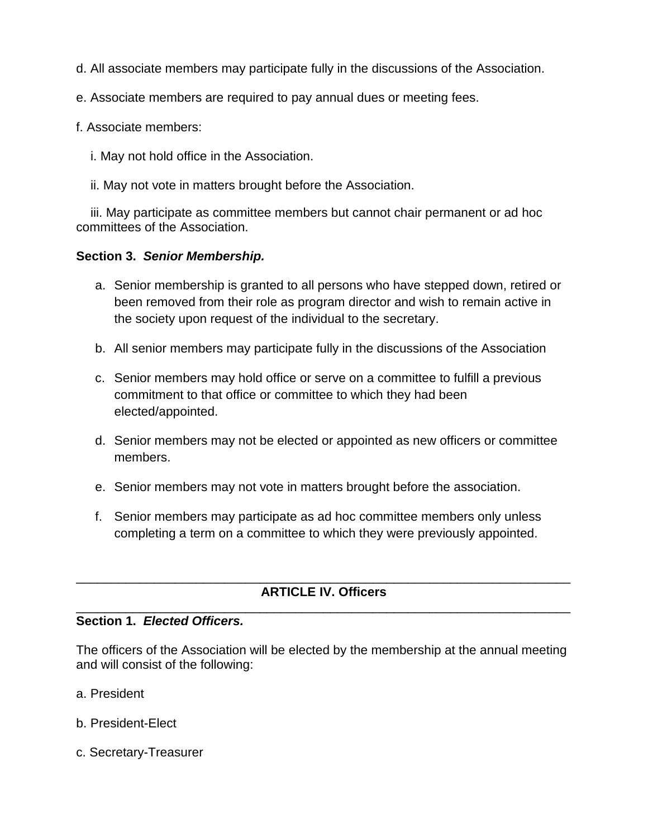- d. All associate members may participate fully in the discussions of the Association.
- e. Associate members are required to pay annual dues or meeting fees.
- f. Associate members:
	- i. May not hold office in the Association.
	- ii. May not vote in matters brought before the Association.

iii. May participate as committee members but cannot chair permanent or ad hoc committees of the Association.

## **Section 3.** *Senior Membership.*

- a. Senior membership is granted to all persons who have stepped down, retired or been removed from their role as program director and wish to remain active in the society upon request of the individual to the secretary.
- b. All senior members may participate fully in the discussions of the Association
- c. Senior members may hold office or serve on a committee to fulfill a previous commitment to that office or committee to which they had been elected/appointed.
- d. Senior members may not be elected or appointed as new officers or committee members.
- e. Senior members may not vote in matters brought before the association.
- f. Senior members may participate as ad hoc committee members only unless completing a term on a committee to which they were previously appointed.

#### \_\_\_\_\_\_\_\_\_\_\_\_\_\_\_\_\_\_\_\_\_\_\_\_\_\_\_\_\_\_\_\_\_\_\_\_\_\_\_\_\_\_\_\_\_\_\_\_\_\_\_\_\_\_\_\_\_\_\_\_\_\_\_\_\_\_\_\_\_\_ **ARTICLE IV. Officers** \_\_\_\_\_\_\_\_\_\_\_\_\_\_\_\_\_\_\_\_\_\_\_\_\_\_\_\_\_\_\_\_\_\_\_\_\_\_\_\_\_\_\_\_\_\_\_\_\_\_\_\_\_\_\_\_\_\_\_\_\_\_\_\_\_\_\_\_\_\_

## **Section 1.** *Elected Officers.*

The officers of the Association will be elected by the membership at the annual meeting and will consist of the following:

- a. President
- b. President-Elect
- c. Secretary-Treasurer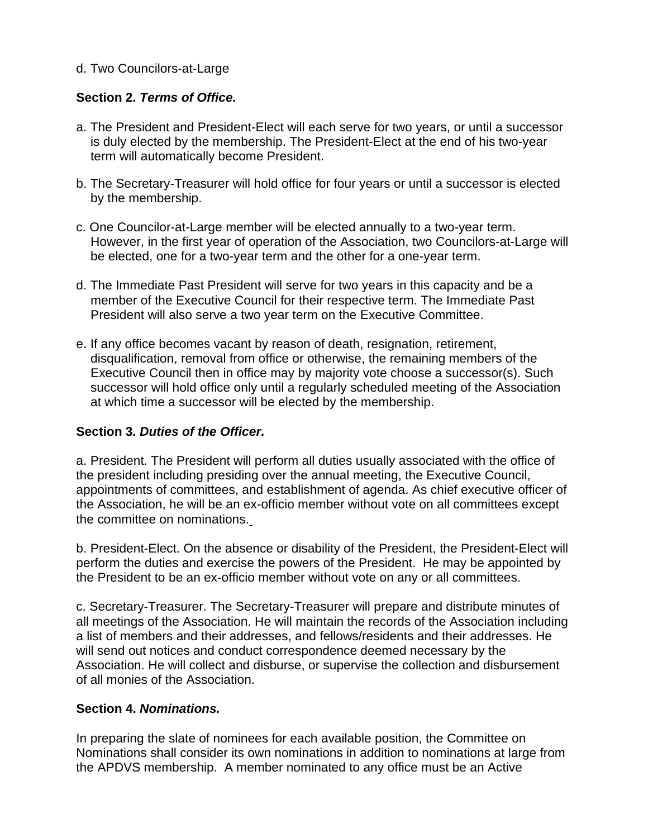## d. Two Councilors-at-Large

## **Section 2.** *Terms of Office.*

- a. The President and President-Elect will each serve for two years, or until a successor is duly elected by the membership. The President-Elect at the end of his two-year term will automatically become President.
- b. The Secretary-Treasurer will hold office for four years or until a successor is elected by the membership.
- c. One Councilor-at-Large member will be elected annually to a two-year term. However, in the first year of operation of the Association, two Councilors-at-Large will be elected, one for a two-year term and the other for a one-year term.
- d. The Immediate Past President will serve for two years in this capacity and be a member of the Executive Council for their respective term. The Immediate Past President will also serve a two year term on the Executive Committee.
- e. If any office becomes vacant by reason of death, resignation, retirement, disqualification, removal from office or otherwise, the remaining members of the Executive Council then in office may by majority vote choose a successor(s). Such successor will hold office only until a regularly scheduled meeting of the Association at which time a successor will be elected by the membership.

## **Section 3.** *Duties of the Officer.*

a. President. The President will perform all duties usually associated with the office of the president including presiding over the annual meeting, the Executive Council, appointments of committees, and establishment of agenda. As chief executive officer of the Association, he will be an ex-officio member without vote on all committees except the committee on nominations.

b. President-Elect. On the absence or disability of the President, the President-Elect will perform the duties and exercise the powers of the President. He may be appointed by the President to be an ex-officio member without vote on any or all committees.

c. Secretary-Treasurer. The Secretary-Treasurer will prepare and distribute minutes of all meetings of the Association. He will maintain the records of the Association including a list of members and their addresses, and fellows/residents and their addresses. He will send out notices and conduct correspondence deemed necessary by the Association. He will collect and disburse, or supervise the collection and disbursement of all monies of the Association.

## **Section 4.** *Nominations.*

In preparing the slate of nominees for each available position, the Committee on Nominations shall consider its own nominations in addition to nominations at large from the APDVS membership. A member nominated to any office must be an Active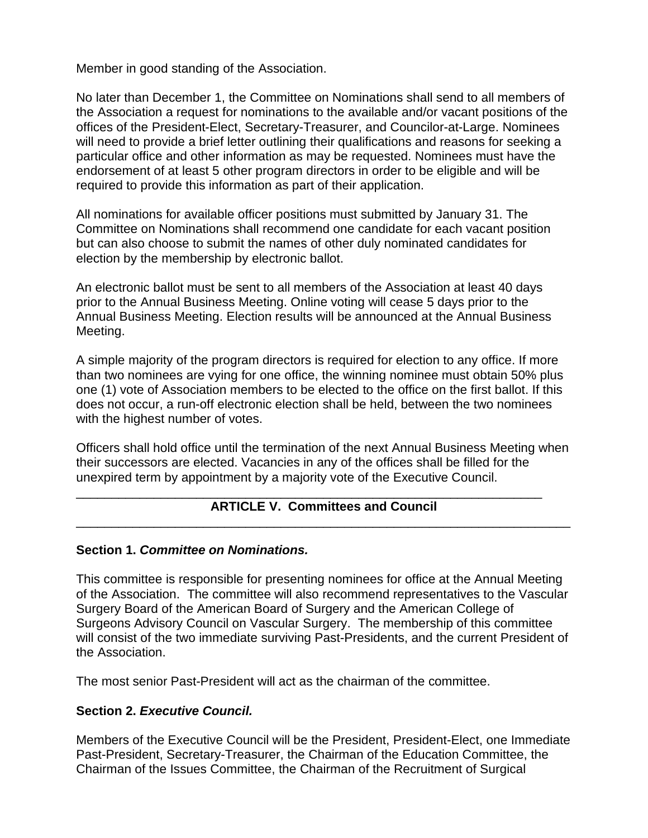Member in good standing of the Association.

No later than December 1, the Committee on Nominations shall send to all members of the Association a request for nominations to the available and/or vacant positions of the offices of the President-Elect, Secretary-Treasurer, and Councilor-at-Large. Nominees will need to provide a brief letter outlining their qualifications and reasons for seeking a particular office and other information as may be requested. Nominees must have the endorsement of at least 5 other program directors in order to be eligible and will be required to provide this information as part of their application.

All nominations for available officer positions must submitted by January 31. The Committee on Nominations shall recommend one candidate for each vacant position but can also choose to submit the names of other duly nominated candidates for election by the membership by electronic ballot.

An electronic ballot must be sent to all members of the Association at least 40 days prior to the Annual Business Meeting. Online voting will cease 5 days prior to the Annual Business Meeting. Election results will be announced at the Annual Business Meeting.

A simple majority of the program directors is required for election to any office. If more than two nominees are vying for one office, the winning nominee must obtain 50% plus one (1) vote of Association members to be elected to the office on the first ballot. If this does not occur, a run-off electronic election shall be held, between the two nominees with the highest number of votes.

Officers shall hold office until the termination of the next Annual Business Meeting when their successors are elected. Vacancies in any of the offices shall be filled for the unexpired term by appointment by a majority vote of the Executive Council.

#### \_\_\_\_\_\_\_\_\_\_\_\_\_\_\_\_\_\_\_\_\_\_\_\_\_\_\_\_\_\_\_\_\_\_\_\_\_\_\_\_\_\_\_\_\_\_\_\_\_\_\_\_\_\_\_\_\_\_\_\_\_\_\_\_\_\_ **ARTICLE V. Committees and Council** \_\_\_\_\_\_\_\_\_\_\_\_\_\_\_\_\_\_\_\_\_\_\_\_\_\_\_\_\_\_\_\_\_\_\_\_\_\_\_\_\_\_\_\_\_\_\_\_\_\_\_\_\_\_\_\_\_\_\_\_\_\_\_\_\_\_\_\_\_\_

#### **Section 1.** *Committee on Nominations.*

This committee is responsible for presenting nominees for office at the Annual Meeting of the Association. The committee will also recommend representatives to the Vascular Surgery Board of the American Board of Surgery and the American College of Surgeons Advisory Council on Vascular Surgery. The membership of this committee will consist of the two immediate surviving Past-Presidents, and the current President of the Association.

The most senior Past-President will act as the chairman of the committee.

## **Section 2.** *Executive Council.*

Members of the Executive Council will be the President, President-Elect, one Immediate Past-President, Secretary-Treasurer, the Chairman of the Education Committee, the Chairman of the Issues Committee, the Chairman of the Recruitment of Surgical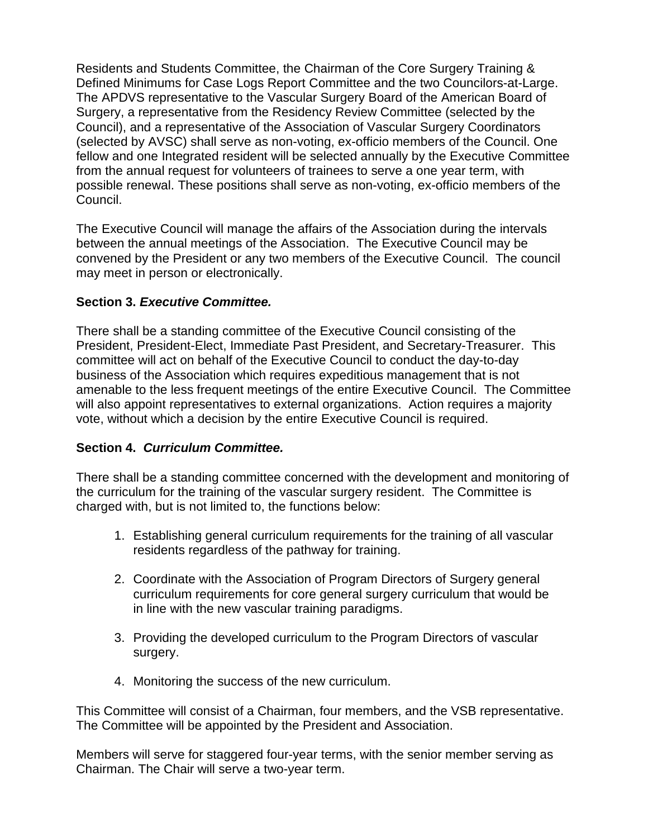Residents and Students Committee, the Chairman of the Core Surgery Training & Defined Minimums for Case Logs Report Committee and the two Councilors-at-Large. The APDVS representative to the Vascular Surgery Board of the American Board of Surgery, a representative from the Residency Review Committee (selected by the Council), and a representative of the Association of Vascular Surgery Coordinators (selected by AVSC) shall serve as non-voting, ex-officio members of the Council. One fellow and one Integrated resident will be selected annually by the Executive Committee from the annual request for volunteers of trainees to serve a one year term, with possible renewal. These positions shall serve as non-voting, ex-officio members of the Council.

The Executive Council will manage the affairs of the Association during the intervals between the annual meetings of the Association. The Executive Council may be convened by the President or any two members of the Executive Council. The council may meet in person or electronically.

## **Section 3.** *Executive Committee.*

There shall be a standing committee of the Executive Council consisting of the President, President-Elect, Immediate Past President, and Secretary-Treasurer. This committee will act on behalf of the Executive Council to conduct the day-to-day business of the Association which requires expeditious management that is not amenable to the less frequent meetings of the entire Executive Council. The Committee will also appoint representatives to external organizations. Action requires a majority vote, without which a decision by the entire Executive Council is required.

## **Section 4.** *Curriculum Committee.*

There shall be a standing committee concerned with the development and monitoring of the curriculum for the training of the vascular surgery resident. The Committee is charged with, but is not limited to, the functions below:

- 1. Establishing general curriculum requirements for the training of all vascular residents regardless of the pathway for training.
- 2. Coordinate with the Association of Program Directors of Surgery general curriculum requirements for core general surgery curriculum that would be in line with the new vascular training paradigms.
- 3. Providing the developed curriculum to the Program Directors of vascular surgery.
- 4. Monitoring the success of the new curriculum.

This Committee will consist of a Chairman, four members, and the VSB representative. The Committee will be appointed by the President and Association.

Members will serve for staggered four-year terms, with the senior member serving as Chairman. The Chair will serve a two-year term.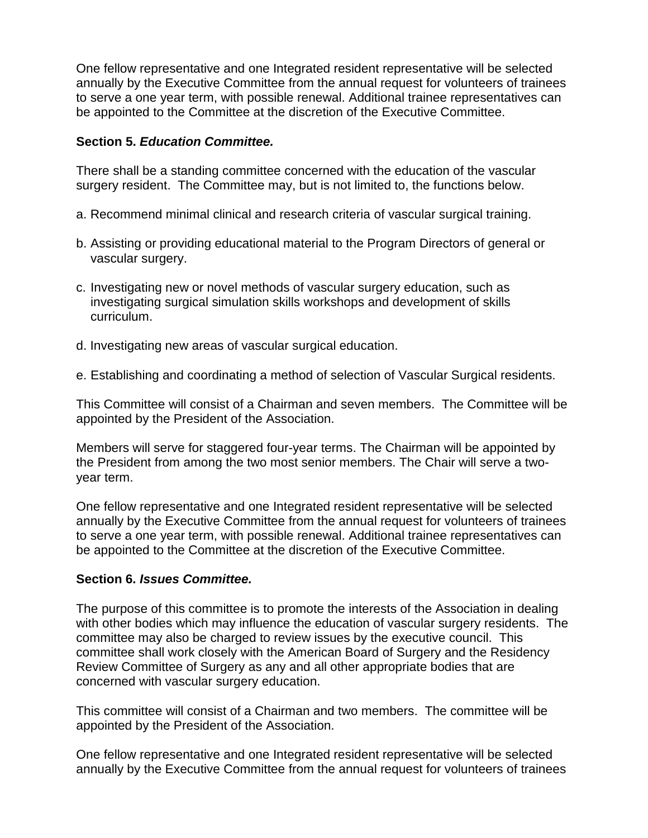One fellow representative and one Integrated resident representative will be selected annually by the Executive Committee from the annual request for volunteers of trainees to serve a one year term, with possible renewal. Additional trainee representatives can be appointed to the Committee at the discretion of the Executive Committee.

### **Section 5.** *Education Committee.*

There shall be a standing committee concerned with the education of the vascular surgery resident. The Committee may, but is not limited to, the functions below.

- a. Recommend minimal clinical and research criteria of vascular surgical training.
- b. Assisting or providing educational material to the Program Directors of general or vascular surgery.
- c. Investigating new or novel methods of vascular surgery education, such as investigating surgical simulation skills workshops and development of skills curriculum.
- d. Investigating new areas of vascular surgical education.
- e. Establishing and coordinating a method of selection of Vascular Surgical residents.

This Committee will consist of a Chairman and seven members. The Committee will be appointed by the President of the Association.

Members will serve for staggered four-year terms. The Chairman will be appointed by the President from among the two most senior members. The Chair will serve a twoyear term.

One fellow representative and one Integrated resident representative will be selected annually by the Executive Committee from the annual request for volunteers of trainees to serve a one year term, with possible renewal. Additional trainee representatives can be appointed to the Committee at the discretion of the Executive Committee.

## **Section 6.** *Issues Committee.*

The purpose of this committee is to promote the interests of the Association in dealing with other bodies which may influence the education of vascular surgery residents. The committee may also be charged to review issues by the executive council. This committee shall work closely with the American Board of Surgery and the Residency Review Committee of Surgery as any and all other appropriate bodies that are concerned with vascular surgery education.

This committee will consist of a Chairman and two members. The committee will be appointed by the President of the Association.

One fellow representative and one Integrated resident representative will be selected annually by the Executive Committee from the annual request for volunteers of trainees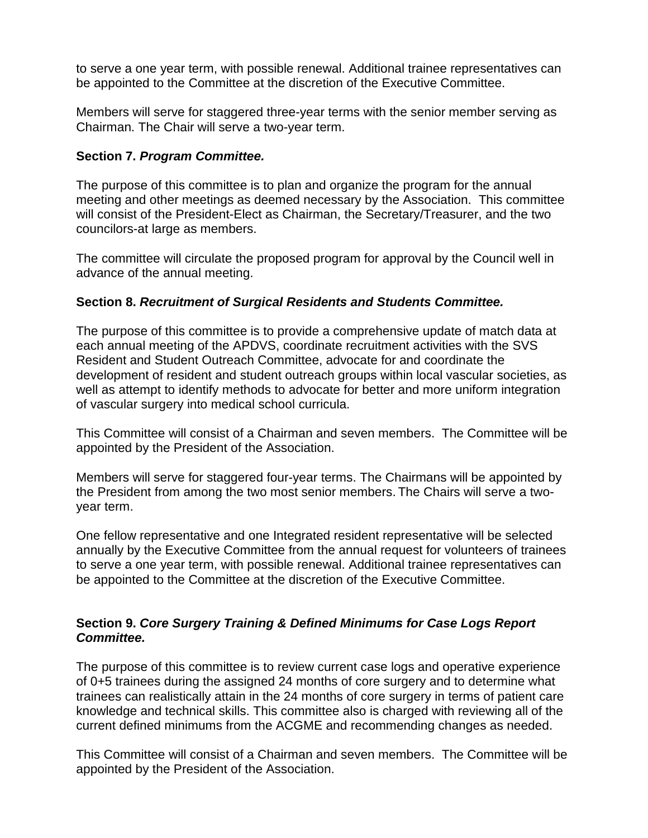to serve a one year term, with possible renewal. Additional trainee representatives can be appointed to the Committee at the discretion of the Executive Committee.

Members will serve for staggered three-year terms with the senior member serving as Chairman. The Chair will serve a two-year term.

## **Section 7.** *Program Committee.*

The purpose of this committee is to plan and organize the program for the annual meeting and other meetings as deemed necessary by the Association. This committee will consist of the President-Elect as Chairman, the Secretary/Treasurer, and the two councilors-at large as members.

The committee will circulate the proposed program for approval by the Council well in advance of the annual meeting.

## **Section 8.** *Recruitment of Surgical Residents and Students Committee.*

The purpose of this committee is to provide a comprehensive update of match data at each annual meeting of the APDVS, coordinate recruitment activities with the SVS Resident and Student Outreach Committee, advocate for and coordinate the development of resident and student outreach groups within local vascular societies, as well as attempt to identify methods to advocate for better and more uniform integration of vascular surgery into medical school curricula.

This Committee will consist of a Chairman and seven members. The Committee will be appointed by the President of the Association.

Members will serve for staggered four-year terms. The Chairmans will be appointed by the President from among the two most senior members. The Chairs will serve a twoyear term.

One fellow representative and one Integrated resident representative will be selected annually by the Executive Committee from the annual request for volunteers of trainees to serve a one year term, with possible renewal. Additional trainee representatives can be appointed to the Committee at the discretion of the Executive Committee.

## **Section 9.** *Core Surgery Training & Defined Minimums for Case Logs Report Committee.*

The purpose of this committee is to review current case logs and operative experience of 0+5 trainees during the assigned 24 months of core surgery and to determine what trainees can realistically attain in the 24 months of core surgery in terms of patient care knowledge and technical skills. This committee also is charged with reviewing all of the current defined minimums from the ACGME and recommending changes as needed.

This Committee will consist of a Chairman and seven members. The Committee will be appointed by the President of the Association.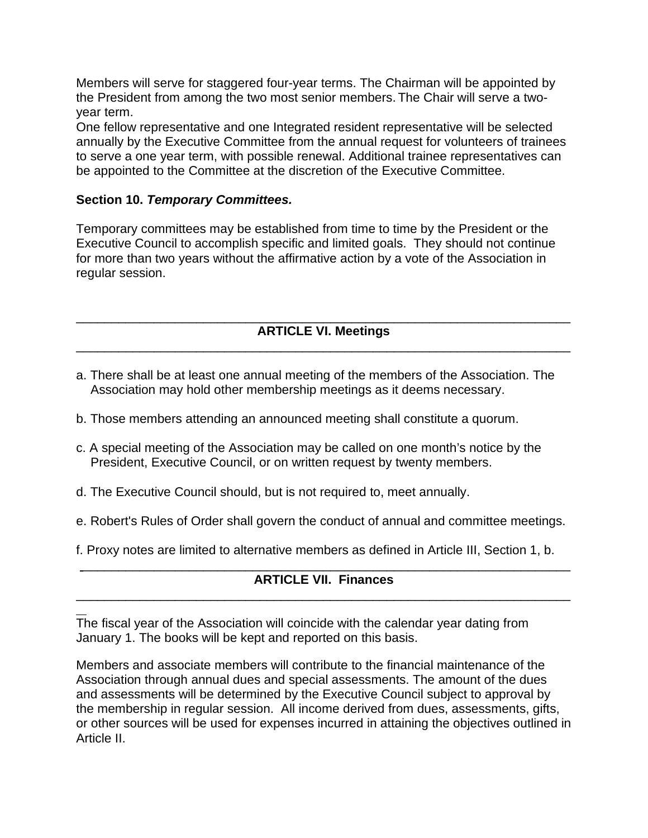Members will serve for staggered four-year terms. The Chairman will be appointed by the President from among the two most senior members. The Chair will serve a twoyear term.

One fellow representative and one Integrated resident representative will be selected annually by the Executive Committee from the annual request for volunteers of trainees to serve a one year term, with possible renewal. Additional trainee representatives can be appointed to the Committee at the discretion of the Executive Committee.

## **Section 10.** *Temporary Committees.*

Temporary committees may be established from time to time by the President or the Executive Council to accomplish specific and limited goals. They should not continue for more than two years without the affirmative action by a vote of the Association in regular session.

#### \_\_\_\_\_\_\_\_\_\_\_\_\_\_\_\_\_\_\_\_\_\_\_\_\_\_\_\_\_\_\_\_\_\_\_\_\_\_\_\_\_\_\_\_\_\_\_\_\_\_\_\_\_\_\_\_\_\_\_\_\_\_\_\_\_\_\_\_\_\_ **ARTICLE VI. Meetings** \_\_\_\_\_\_\_\_\_\_\_\_\_\_\_\_\_\_\_\_\_\_\_\_\_\_\_\_\_\_\_\_\_\_\_\_\_\_\_\_\_\_\_\_\_\_\_\_\_\_\_\_\_\_\_\_\_\_\_\_\_\_\_\_\_\_\_\_\_\_

- a. There shall be at least one annual meeting of the members of the Association. The Association may hold other membership meetings as it deems necessary.
- b. Those members attending an announced meeting shall constitute a quorum.
- c. A special meeting of the Association may be called on one month's notice by the President, Executive Council, or on written request by twenty members.
- d. The Executive Council should, but is not required to, meet annually.
- e. Robert's Rules of Order shall govern the conduct of annual and committee meetings.
- f. Proxy notes are limited to alternative members as defined in Article III, Section 1, b.

#### \_\_\_\_\_\_\_\_\_\_\_\_\_\_\_\_\_\_\_\_\_\_\_\_\_\_\_\_\_\_\_\_\_\_\_\_\_\_\_\_\_\_\_\_\_\_\_\_\_\_\_\_\_\_\_\_\_\_\_\_\_\_\_\_\_\_\_\_\_ **ARTICLE VII. Finances** \_\_\_\_\_\_\_\_\_\_\_\_\_\_\_\_\_\_\_\_\_\_\_\_\_\_\_\_\_\_\_\_\_\_\_\_\_\_\_\_\_\_\_\_\_\_\_\_\_\_\_\_\_\_\_\_\_\_\_\_\_\_\_\_\_\_\_\_\_\_

 $\overline{a}$ The fiscal year of the Association will coincide with the calendar year dating from January 1. The books will be kept and reported on this basis.

Members and associate members will contribute to the financial maintenance of the Association through annual dues and special assessments. The amount of the dues and assessments will be determined by the Executive Council subject to approval by the membership in regular session. All income derived from dues, assessments, gifts, or other sources will be used for expenses incurred in attaining the objectives outlined in Article II.